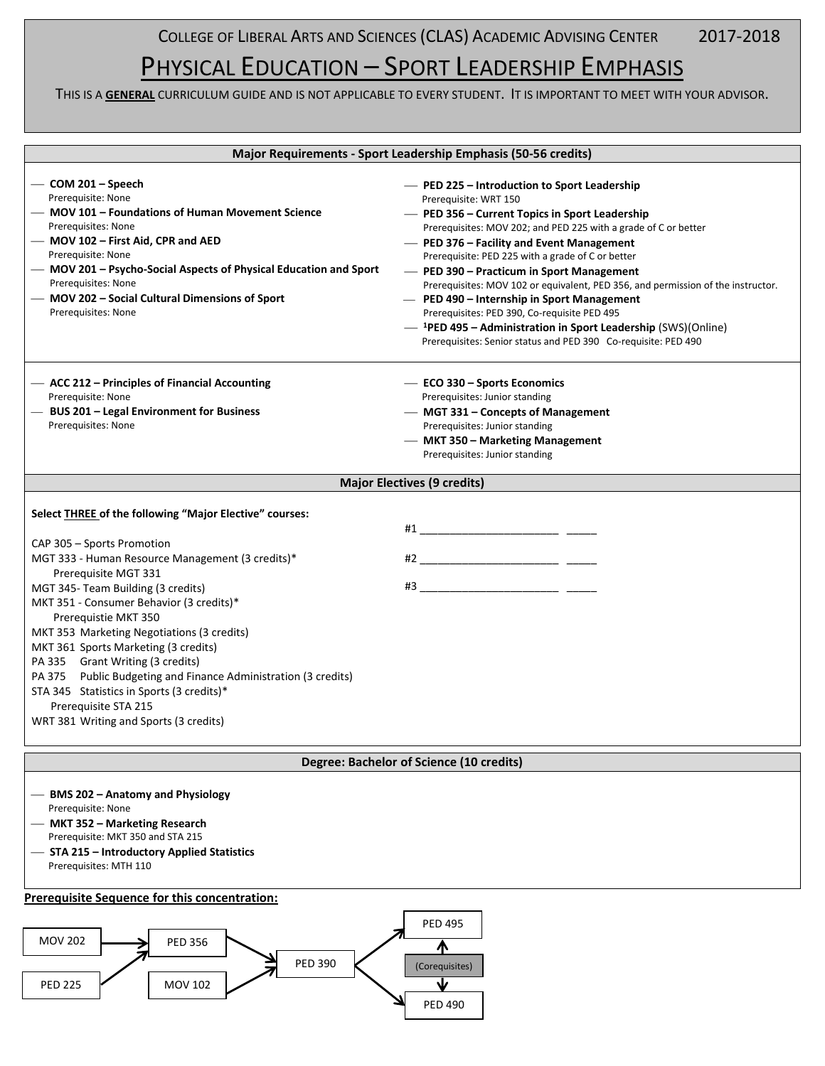COLLEGE OF LIBERAL ARTS AND SCIENCES (CLAS) ACADEMIC ADVISING CENTER 2017-2018

# PHYSICAL EDUCATION – SPORT LEADERSHIP EMPHASIS

THIS IS A **GENERAL** CURRICULUM GUIDE AND IS NOT APPLICABLE TO EVERY STUDENT. IT IS IMPORTANT TO MEET WITH YOUR ADVISOR.

| Major Requirements - Sport Leadership Emphasis (50-56 credits)                                              |                                                                                                |  |  |
|-------------------------------------------------------------------------------------------------------------|------------------------------------------------------------------------------------------------|--|--|
|                                                                                                             |                                                                                                |  |  |
| $-$ COM 201 – Speech                                                                                        | - PED 225 - Introduction to Sport Leadership                                                   |  |  |
| Prerequisite: None                                                                                          | Prerequisite: WRT 150                                                                          |  |  |
| - MOV 101 - Foundations of Human Movement Science                                                           | - PED 356 - Current Topics in Sport Leadership                                                 |  |  |
| Prerequisites: None<br>- MOV 102 - First Aid, CPR and AED                                                   | Prerequisites: MOV 202; and PED 225 with a grade of C or better                                |  |  |
| Prerequisite: None                                                                                          | - PED 376 - Facility and Event Management<br>Prerequisite: PED 225 with a grade of C or better |  |  |
| - MOV 201 - Psycho-Social Aspects of Physical Education and Sport                                           | - PED 390 - Practicum in Sport Management                                                      |  |  |
| Prerequisites: None                                                                                         | Prerequisites: MOV 102 or equivalent, PED 356, and permission of the instructor.               |  |  |
| - MOV 202 - Social Cultural Dimensions of Sport                                                             | - PED 490 - Internship in Sport Management                                                     |  |  |
| Prerequisites: None                                                                                         | Prerequisites: PED 390, Co-requisite PED 495                                                   |  |  |
|                                                                                                             | $-$ <sup>1</sup> PED 495 – Administration in Sport Leadership (SWS)(Online)                    |  |  |
|                                                                                                             | Prerequisites: Senior status and PED 390 Co-requisite: PED 490                                 |  |  |
|                                                                                                             |                                                                                                |  |  |
| - ACC 212 - Principles of Financial Accounting                                                              | - ECO 330 - Sports Economics                                                                   |  |  |
| Prerequisite: None<br>- BUS 201 - Legal Environment for Business                                            | Prerequisites: Junior standing                                                                 |  |  |
| Prerequisites: None                                                                                         | - MGT 331 - Concepts of Management<br>Prerequisites: Junior standing                           |  |  |
|                                                                                                             | - MKT 350 - Marketing Management                                                               |  |  |
|                                                                                                             | Prerequisites: Junior standing                                                                 |  |  |
|                                                                                                             |                                                                                                |  |  |
|                                                                                                             | <b>Major Electives (9 credits)</b>                                                             |  |  |
| Select <b>THREE</b> of the following "Major Elective" courses:                                              |                                                                                                |  |  |
|                                                                                                             |                                                                                                |  |  |
| CAP 305 – Sports Promotion                                                                                  |                                                                                                |  |  |
| MGT 333 - Human Resource Management (3 credits)*                                                            |                                                                                                |  |  |
| Prerequisite MGT 331                                                                                        |                                                                                                |  |  |
| MGT 345- Team Building (3 credits)                                                                          |                                                                                                |  |  |
| MKT 351 - Consumer Behavior (3 credits)*                                                                    |                                                                                                |  |  |
| Prerequistie MKT 350                                                                                        |                                                                                                |  |  |
| MKT 353 Marketing Negotiations (3 credits)                                                                  |                                                                                                |  |  |
| MKT 361 Sports Marketing (3 credits)                                                                        |                                                                                                |  |  |
| PA 335 Grant Writing (3 credits)                                                                            |                                                                                                |  |  |
| PA 375 Public Budgeting and Finance Administration (3 credits)<br>STA 345 Statistics in Sports (3 credits)* |                                                                                                |  |  |
| Prerequisite STA 215                                                                                        |                                                                                                |  |  |
| WRT 381 Writing and Sports (3 credits)                                                                      |                                                                                                |  |  |
|                                                                                                             |                                                                                                |  |  |
|                                                                                                             | Degree: Bachelor of Science (10 credits)                                                       |  |  |
|                                                                                                             |                                                                                                |  |  |
| - BMS 202 - Anatomy and Physiology<br>Prerequisite: None                                                    |                                                                                                |  |  |
| - MKT 352 - Marketing Research                                                                              |                                                                                                |  |  |
| Prerequisite: MKT 350 and STA 215                                                                           |                                                                                                |  |  |
| - STA 215 - Introductory Applied Statistics                                                                 |                                                                                                |  |  |
| Prerequisites: MTH 110                                                                                      |                                                                                                |  |  |
| <b>Prerequisite Sequence for this concentration:</b>                                                        |                                                                                                |  |  |
|                                                                                                             | <b>PED 495</b>                                                                                 |  |  |
| <b>PFD 356</b><br><b>MOV 202</b>                                                                            |                                                                                                |  |  |